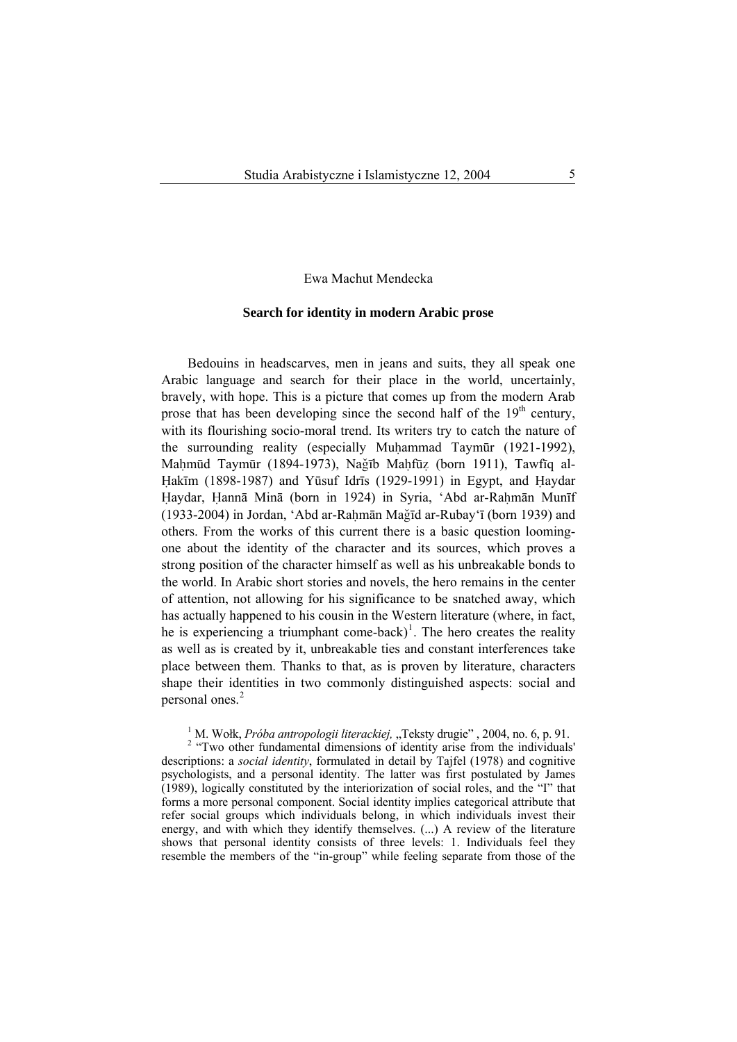# Ewa Machut Mendecka

### **Search for identity in modern Arabic prose**

Bedouins in headscarves, men in jeans and suits, they all speak one Arabic language and search for their place in the world, uncertainly, bravely, with hope. This is a picture that comes up from the modern Arab prose that has been developing since the second half of the  $19<sup>th</sup>$  century, with its flourishing socio-moral trend. Its writers try to catch the nature of the surrounding reality (especially Muhammad Taymūr (1921-1992), Mahmūd Taymūr (1894-1973), Nağīb Mahfūz (born 1911), Tawfīq al-Hakīm (1898-1987) and Yūsuf Idrīs (1929-1991) in Egypt, and Haydar Haydar, Hannā Minā (born in 1924) in Syria, 'Abd ar-Rahmān Munīf (1933-2004) in Jordan, 'Abd ar-Rahmān Mağīd ar-Rubay'ī (born 1939) and others. From the works of this current there is a basic question loomingone about the identity of the character and its sources, which proves a strong position of the character himself as well as his unbreakable bonds to the world. In Arabic short stories and novels, the hero remains in the center of attention, not allowing for his significance to be snatched away, which has actually happened to his cousin in the Western literature (where, in fact, he is experiencing a triumphant come-back)<sup>[1](#page-0-0)</sup>. The hero creates the reality as well as is created by it, unbreakable ties and constant interferences take place between them. Thanks to that, as is proven by literature, characters shape their identities in two commonly distinguished aspects: social and personal ones.<sup>[2](#page-0-1)</sup>

<sup>1</sup> M. Wołk, *Próba antropologii literackiej*, "Teksty drugie", 2004, no. 6, p. 91.<br><sup>2</sup> "Two other fundamental dimensions of identity arise from the individual

<span id="page-0-1"></span><span id="page-0-0"></span><sup>2</sup> "Two other fundamental dimensions of identity arise from the individuals' descriptions: a *social identity*, formulated in detail by Tajfel (1978) and cognitive psychologists, and a personal identity. The latter was first postulated by James (1989), logically constituted by the interiorization of social roles, and the "I" that forms a more personal component. Social identity implies categorical attribute that refer social groups which individuals belong, in which individuals invest their energy, and with which they identify themselves. (...) A review of the literature shows that personal identity consists of three levels: 1. Individuals feel they resemble the members of the "in-group" while feeling separate from those of the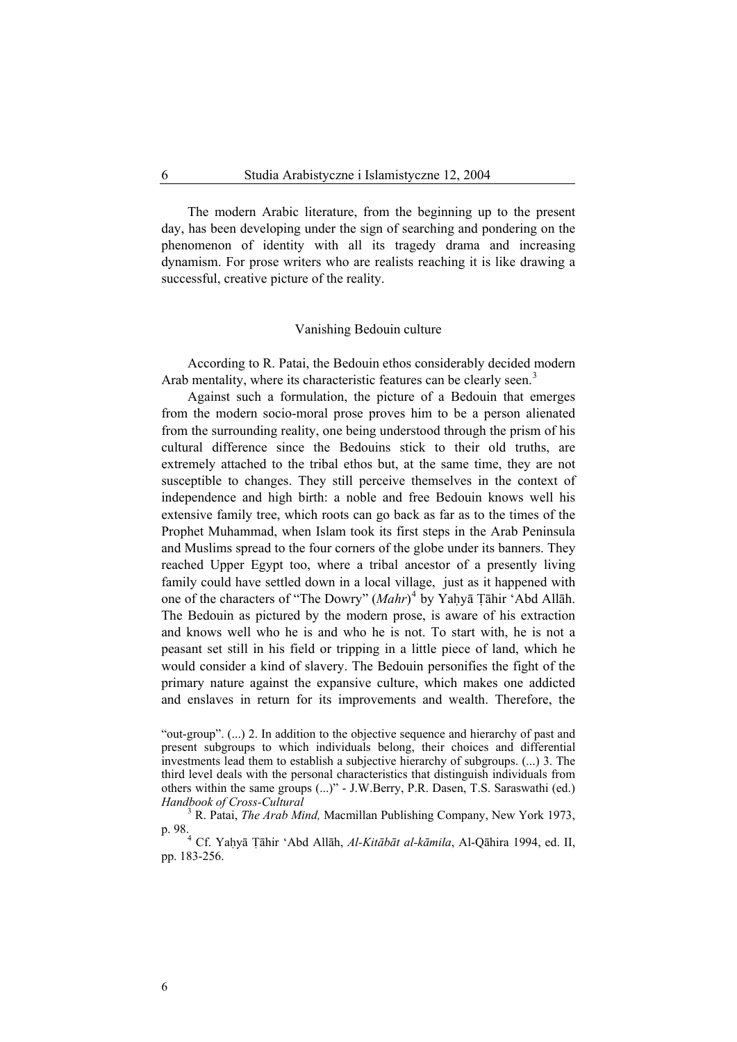The modern Arabic literature, from the beginning up to the present day, has been developing under the sign of searching and pondering on the phenomenon of identity with all its tragedy drama and increasing dynamism. For prose writers who are realists reaching it is like drawing a successful, creative picture of the reality.

### Vanishing Bedouin culture

According to R. Patai, the Bedouin ethos considerably decided modern Arab mentality, where its characteristic features can be clearly seen.<sup>[3](#page-1-0)</sup>

Against such a formulation, the picture of a Bedouin that emerges from the modern socio-moral prose proves him to be a person alienated from the surrounding reality, one being understood through the prism of his cultural difference since the Bedouins stick to their old truths, are extremely attached to the tribal ethos but, at the same time, they are not susceptible to changes. They still perceive themselves in the context of independence and high birth: a noble and free Bedouin knows well his extensive family tree, which roots can go back as far as to the times of the Prophet Muhammad, when Islam took its first steps in the Arab Peninsula and Muslims spread to the four corners of the globe under its banners. They reached Upper Egypt too, where a tribal ancestor of a presently living family could have settled down in a local village, just as it happened with one of the characters of "The Dowry" (*Mahr*)<sup>[4](#page-1-1)</sup> by Yaḥyā Țāhir 'Abd Allāh. The Bedouin as pictured by the modern prose, is aware of his extraction and knows well who he is and who he is not. To start with, he is not a peasant set still in his field or tripping in a little piece of land, which he would consider a kind of slavery. The Bedouin personifies the fight of the primary nature against the expansive culture, which makes one addicted and enslaves in return for its improvements and wealth. Therefore, the

6

<sup>&</sup>quot;out-group". (...) 2. In addition to the objective sequence and hierarchy of past and present subgroups to which individuals belong, their choices and differential investments lead them to establish a subjective hierarchy of subgroups. (...) 3. The third level deals with the personal characteristics that distinguish individuals from others within the same groups (...)" - J.W.Berry, P.R. Dasen, T.S. Saraswathi (ed.) *Handbook of Cross-Cultural* <sup>3</sup>

<span id="page-1-0"></span>R. Patai, *The Arab Mind,* Macmillan Publishing Company, New York 1973, p. 98.<br><sup>4</sup> Cf. Yaḥyā Ṭāhir ʿAbd Allāh, *Al-Kitābāt al-kāmila*, Al-Qāhira 1994, ed. II,

<span id="page-1-1"></span>pp. 183-256.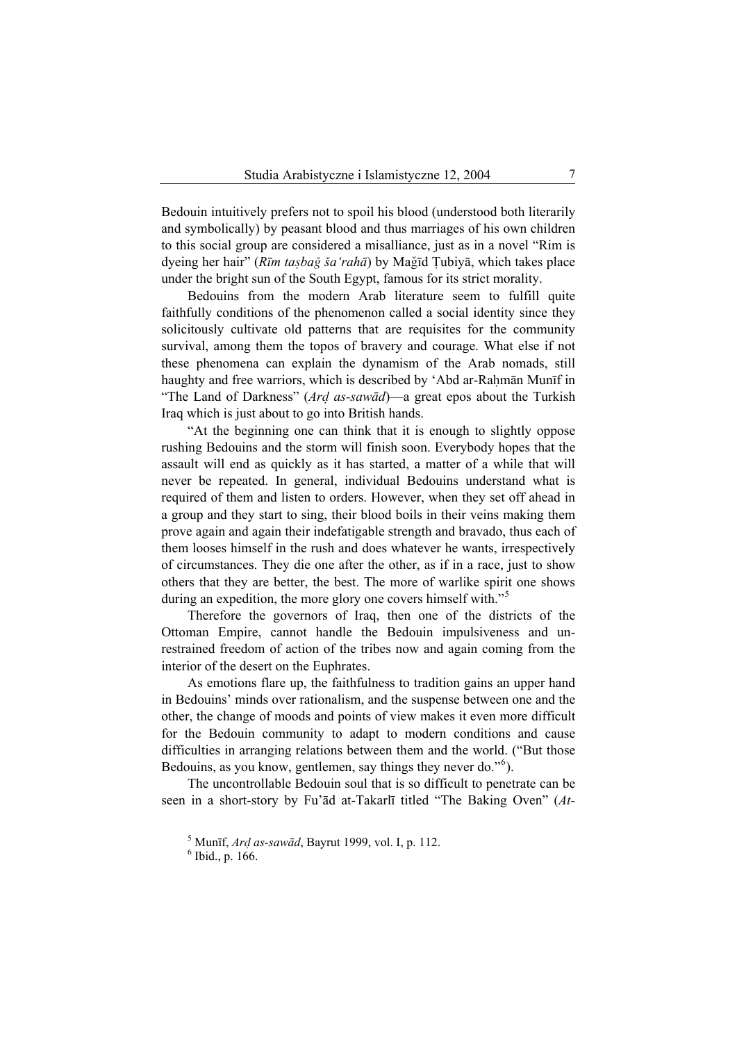Bedouin intuitively prefers not to spoil his blood (understood both literarily and symbolically) by peasant blood and thus marriages of his own children to this social group are considered a misalliance, just as in a novel "Rim is dyeing her hair" (*Rīm tasbag ša'rahā*) by Mağīd Tubiyā, which takes place under the bright sun of the South Egypt, famous for its strict morality.

Bedouins from the modern Arab literature seem to fulfill quite faithfully conditions of the phenomenon called a social identity since they solicitously cultivate old patterns that are requisites for the community survival, among them the topos of bravery and courage. What else if not these phenomena can explain the dynamism of the Arab nomads, still haughty and free warriors, which is described by 'Abd ar-Rahmān Munīf in "The Land of Darkness" (Ard as-sawad)—a great epos about the Turkish Iraq which is just about to go into British hands.

"At the beginning one can think that it is enough to slightly oppose rushing Bedouins and the storm will finish soon. Everybody hopes that the assault will end as quickly as it has started, a matter of a while that will never be repeated. In general, individual Bedouins understand what is required of them and listen to orders. However, when they set off ahead in a group and they start to sing, their blood boils in their veins making them prove again and again their indefatigable strength and bravado, thus each of them looses himself in the rush and does whatever he wants, irrespectively of circumstances. They die one after the other, as if in a race, just to show others that they are better, the best. The more of warlike spirit one shows during an expedition, the more glory one covers himself with."<sup>[5](#page-2-0)</sup>

Therefore the governors of Iraq, then one of the districts of the Ottoman Empire, cannot handle the Bedouin impulsiveness and unrestrained freedom of action of the tribes now and again coming from the interior of the desert on the Euphrates.

As emotions flare up, the faithfulness to tradition gains an upper hand in Bedouins' minds over rationalism, and the suspense between one and the other, the change of moods and points of view makes it even more difficult for the Bedouin community to adapt to modern conditions and cause difficulties in arranging relations between them and the world. ("But those Bedouins, as you know, gentlemen, say things they never do."<sup>[6](#page-2-1)</sup>).

<span id="page-2-1"></span><span id="page-2-0"></span>The uncontrollable Bedouin soul that is so difficult to penetrate can be seen in a short-story by Fu'ād at-Takarlī titled "The Baking Oven" (*At-*

<sup>&</sup>lt;sup>5</sup> Munīf, *Ard as-sawād*, Bayrut 1999, vol. I, p. 112.

 $6$  Ibid., p. 166.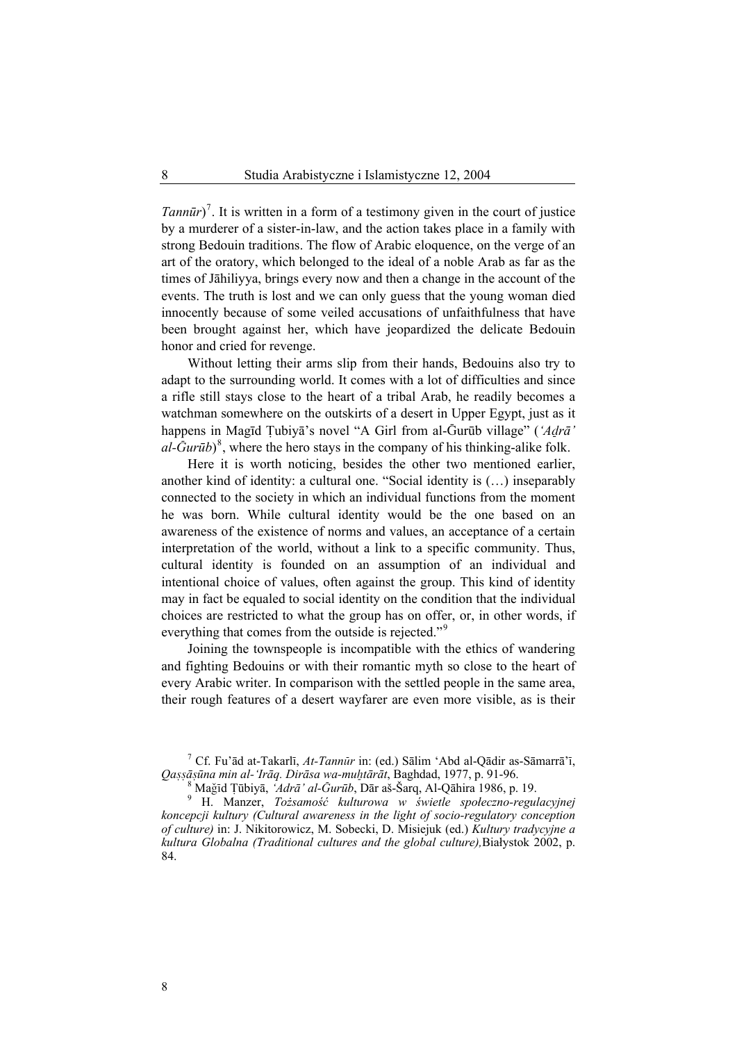*Tannūr*<sup> $)$ </sup>. It is written in a form of a testimony given in the court of justice by a murderer of a sister-in-law, and the action takes place in a family with strong Bedouin traditions. The flow of Arabic eloquence, on the verge of an art of the oratory, which belonged to the ideal of a noble Arab as far as the times of Jāhiliyya, brings every now and then a change in the account of the events. The truth is lost and we can only guess that the young woman died innocently because of some veiled accusations of unfaithfulness that have been brought against her, which have jeopardized the delicate Bedouin honor and cried for revenge.

Without letting their arms slip from their hands, Bedouins also try to adapt to the surrounding world. It comes with a lot of difficulties and since a rifle still stays close to the heart of a tribal Arab, he readily becomes a watchman somewhere on the outskirts of a desert in Upper Egypt, just as it happens in Magīd Țubiyā's novel "A Girl from al-Gurūb village" ('Adrā<sup>'</sup>  $aI$ - $\bar{G}$ *ur* $\bar{u}b$ <sup>3</sup>, where the hero stays in the company of his thinking-alike folk.

Here it is worth noticing, besides the other two mentioned earlier, another kind of identity: a cultural one. "Social identity is (…) inseparably connected to the society in which an individual functions from the moment he was born. While cultural identity would be the one based on an awareness of the existence of norms and values, an acceptance of a certain interpretation of the world, without a link to a specific community. Thus, cultural identity is founded on an assumption of an individual and intentional choice of values, often against the group. This kind of identity may in fact be equaled to social identity on the condition that the individual choices are restricted to what the group has on offer, or, in other words, if everything that comes from the outside is rejected."<sup>[9](#page-3-2)</sup>

Joining the townspeople is incompatible with the ethics of wandering and fighting Bedouins or with their romantic myth so close to the heart of every Arabic writer. In comparison with the settled people in the same area, their rough features of a desert wayfarer are even more visible, as is their

<span id="page-3-0"></span><sup>7</sup> Cf. Fu'ād at-Takarlī, *At-Tannūr* in: (ed.) Sālim 'Abd al-Qādir as-Sāmarrā'ī, *Qa^^ā^ūna min al-'Irāq. Dirāsa wa-muÆtārāt*, Baghdad, 1977, p. 91-96. <sup>8</sup>

MaÑÜd ‡ūbiyā, *'Adrā' al-¥urūb*, Dār aš-Šarq, Al-Qāhira 1986, p. 19. <sup>9</sup>

<span id="page-3-2"></span><span id="page-3-1"></span> H. Manzer, *Tożsamość kulturowa w świetle społeczno-regulacyjnej koncepcji kultury (Cultural awareness in the light of socio-regulatory conception of culture)* in: J. Nikitorowicz, M. Sobecki, D. Misiejuk (ed.) *Kultury tradycyjne a kultura Globalna (Traditional cultures and the global culture),*Białystok 2002, p. 84.

8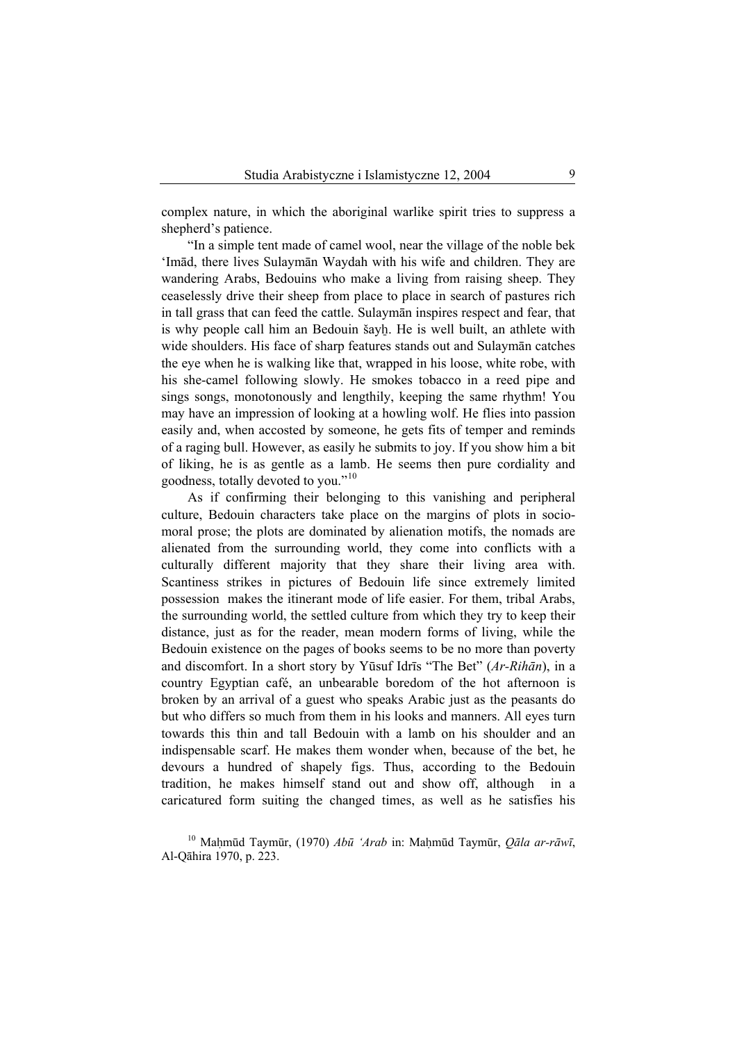complex nature, in which the aboriginal warlike spirit tries to suppress a shepherd's patience.

"In a simple tent made of camel wool, near the village of the noble bek 'Imād, there lives Sulaymān Waydah with his wife and children. They are wandering Arabs, Bedouins who make a living from raising sheep. They ceaselessly drive their sheep from place to place in search of pastures rich in tall grass that can feed the cattle. Sulaymān inspires respect and fear, that is why people call him an Bedouin šayh. He is well built, an athlete with wide shoulders. His face of sharp features stands out and Sulaymān catches the eye when he is walking like that, wrapped in his loose, white robe, with his she-camel following slowly. He smokes tobacco in a reed pipe and sings songs, monotonously and lengthily, keeping the same rhythm! You may have an impression of looking at a howling wolf. He flies into passion easily and, when accosted by someone, he gets fits of temper and reminds of a raging bull. However, as easily he submits to joy. If you show him a bit of liking, he is as gentle as a lamb. He seems then pure cordiality and goodness, totally devoted to you."[10](#page-4-0)

As if confirming their belonging to this vanishing and peripheral culture, Bedouin characters take place on the margins of plots in sociomoral prose; the plots are dominated by alienation motifs, the nomads are alienated from the surrounding world, they come into conflicts with a culturally different majority that they share their living area with. Scantiness strikes in pictures of Bedouin life since extremely limited possession makes the itinerant mode of life easier. For them, tribal Arabs, the surrounding world, the settled culture from which they try to keep their distance, just as for the reader, mean modern forms of living, while the Bedouin existence on the pages of books seems to be no more than poverty and discomfort. In a short story by Yūsuf Idrīs "The Bet" (*Ar-Rihān*), in a country Egyptian café, an unbearable boredom of the hot afternoon is broken by an arrival of a guest who speaks Arabic just as the peasants do but who differs so much from them in his looks and manners. All eyes turn towards this thin and tall Bedouin with a lamb on his shoulder and an indispensable scarf. He makes them wonder when, because of the bet, he devours a hundred of shapely figs. Thus, according to the Bedouin tradition, he makes himself stand out and show off, although in a caricatured form suiting the changed times, as well as he satisfies his

<span id="page-4-0"></span><sup>10</sup> Ma…mūd Taymūr, (1970) *Abū 'Arab* in: Ma…mūd Taymūr, *Qāla ar-rāwī*, Al-Qāhira 1970, p. 223.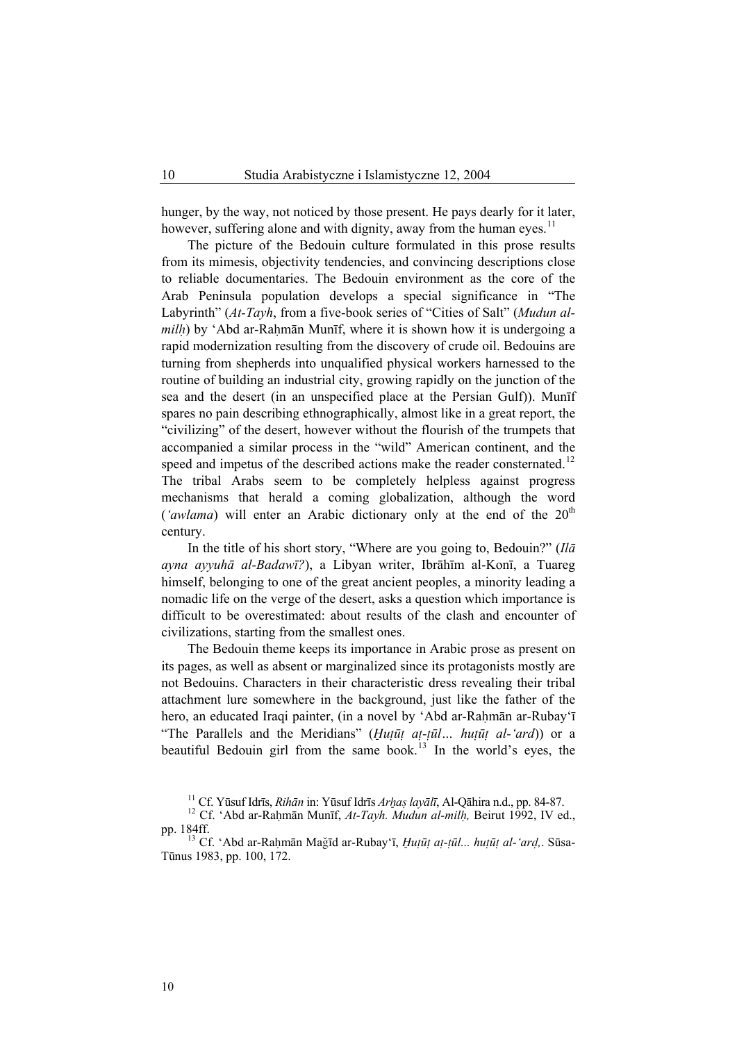hunger, by the way, not noticed by those present. He pays dearly for it later, however, suffering alone and with dignity, away from the human eyes.<sup>[11](#page-5-0)</sup>

The picture of the Bedouin culture formulated in this prose results from its mimesis, objectivity tendencies, and convincing descriptions close to reliable documentaries. The Bedouin environment as the core of the Arab Peninsula population develops a special significance in "The Labyrinth" (*At-Tayh*, from a five-book series of "Cities of Salt" (*Mudun almilh*) by 'Abd ar-Rahmān Munīf, where it is shown how it is undergoing a rapid modernization resulting from the discovery of crude oil. Bedouins are turning from shepherds into unqualified physical workers harnessed to the routine of building an industrial city, growing rapidly on the junction of the sea and the desert (in an unspecified place at the Persian Gulf)). Munīf spares no pain describing ethnographically, almost like in a great report, the "civilizing" of the desert, however without the flourish of the trumpets that accompanied a similar process in the "wild" American continent, and the speed and impetus of the described actions make the reader consternated.<sup>[12](#page-5-1)</sup> The tribal Arabs seem to be completely helpless against progress mechanisms that herald a coming globalization, although the word  $('avlama)$  will enter an Arabic dictionary only at the end of the  $20<sup>th</sup>$ century.

In the title of his short story, "Where are you going to, Bedouin?" (*Ilā ayna ayyuhā al-Badawī?*), a Libyan writer, Ibrāhīm al-Konī, a Tuareg himself, belonging to one of the great ancient peoples, a minority leading a nomadic life on the verge of the desert, asks a question which importance is difficult to be overestimated: about results of the clash and encounter of civilizations, starting from the smallest ones.

The Bedouin theme keeps its importance in Arabic prose as present on its pages, as well as absent or marginalized since its protagonists mostly are not Bedouins. Characters in their characteristic dress revealing their tribal attachment lure somewhere in the background, just like the father of the hero, an educated Iraqi painter, (in a novel by 'Abd ar-Rahmān ar-Rubay'ī "The Parallels and the Meridians" (*Œuùūù aù-ùūl… huùūù al-'ard*)) or a beautiful Bedouin girl from the same book.<sup>[13](#page-5-2)</sup> In the world's eyes, the

<span id="page-5-1"></span><span id="page-5-0"></span><sup>&</sup>lt;sup>11</sup> Cf. Yūsuf Idrīs, *Rihān* in: Yūsuf Idrīs *Arhas layālī*, Al-Qāhira n.d., pp. 84-87.<br><sup>12</sup> Cf. 'Abd ar-Rahmān Munīf, *At-Tayh. Mudun al-milh*, Beirut 1992, IV ed., pp. 184ff.<br><sup>13</sup> Cf. 'Abd ar-Raḥmān Maǧīd ar-Rubay'ī, *Huṭūṭ aṭ-ṭūl... huṭūṭ al-'arḍ,*. Sūsa-

<span id="page-5-2"></span>Tūnus 1983, pp. 100, 172.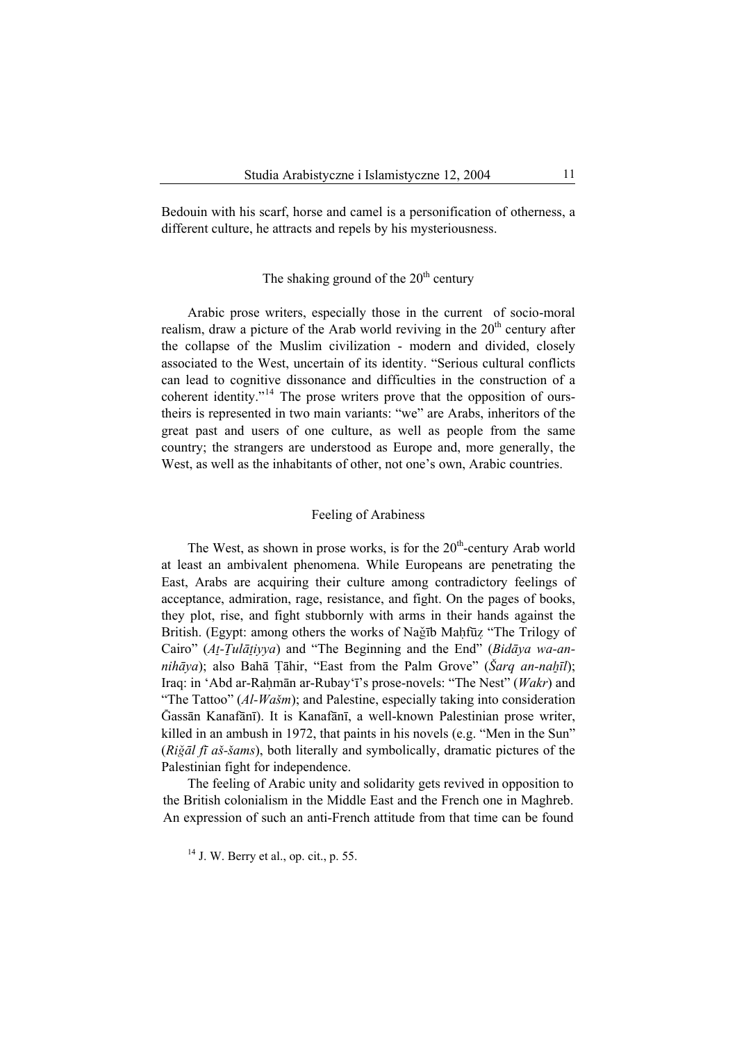Bedouin with his scarf, horse and camel is a personification of otherness, a different culture, he attracts and repels by his mysteriousness.

# The shaking ground of the  $20<sup>th</sup>$  century

Arabic prose writers, especially those in the current of socio-moral realism, draw a picture of the Arab world reviving in the  $20<sup>th</sup>$  century after the collapse of the Muslim civilization - modern and divided, closely associated to the West, uncertain of its identity. "Serious cultural conflicts can lead to cognitive dissonance and difficulties in the construction of a coherent identity."[14](#page-6-0) The prose writers prove that the opposition of ourstheirs is represented in two main variants: "we" are Arabs, inheritors of the great past and users of one culture, as well as people from the same country; the strangers are understood as Europe and, more generally, the West, as well as the inhabitants of other, not one's own, Arabic countries.

#### Feeling of Arabiness

The West, as shown in prose works, is for the  $20<sup>th</sup>$ -century Arab world at least an ambivalent phenomena. While Europeans are penetrating the East, Arabs are acquiring their culture among contradictory feelings of acceptance, admiration, rage, resistance, and fight. On the pages of books, they plot, rise, and fight stubbornly with arms in their hands against the British. (Egypt: among others the works of Nağīb Mahfūz "The Trilogy of Cairo" (At-Tulātiyya) and "The Beginning and the End" (*Bidāya wa-annihāya*); also Bahā Țāhir, "East from the Palm Grove" (*Šarq an-nahīl*); Iraq: in 'Abd ar-Rahmān ar-Rubay'ī's prose-novels: "The Nest" (*Wakr*) and "The Tattoo" (*Al-Wašm*); and Palestine, especially taking into consideration ¥assān Kanafānī). It is Kanafānī, a well-known Palestinian prose writer, killed in an ambush in 1972, that paints in his novels (e.g. "Men in the Sun" (*RiÑāl fī aš-šams*), both literally and symbolically, dramatic pictures of the Palestinian fight for independence.

<span id="page-6-0"></span>The feeling of Arabic unity and solidarity gets revived in opposition to the British colonialism in the Middle East and the French one in Maghreb. An expression of such an anti-French attitude from that time can be found

 $14$  J. W. Berry et al., op. cit., p. 55.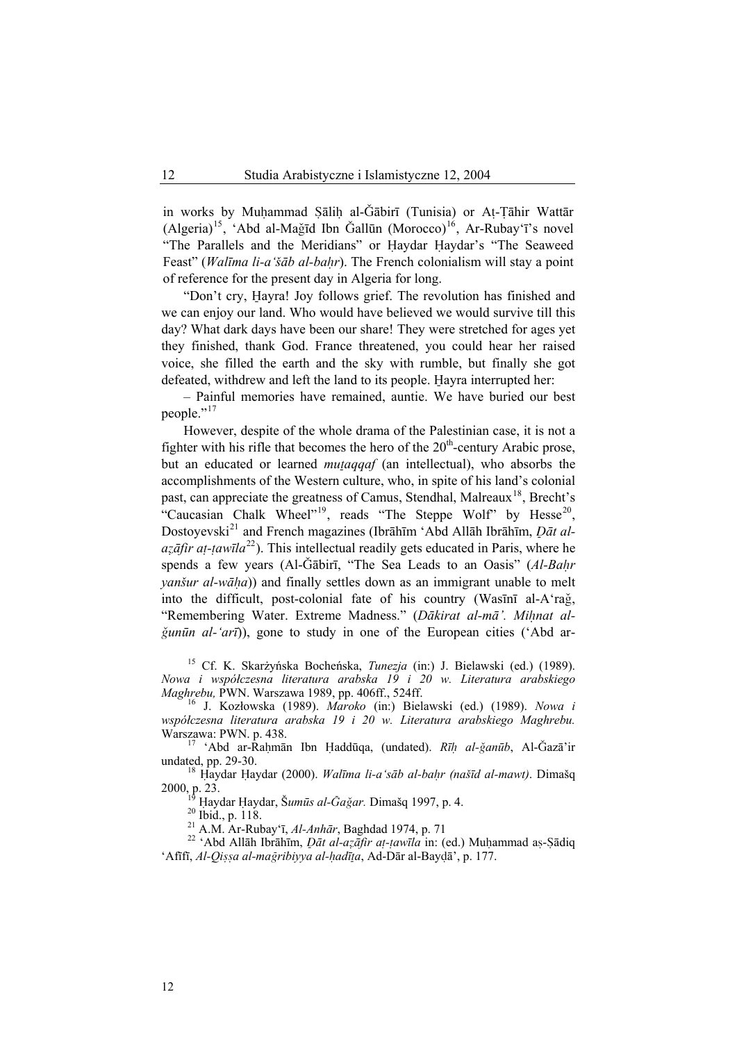in works by Muhammad Sālih al-Ğābirī (Tunisia) or At-Tāhir Wattār  $(Algeria)^{15}$  $(Algeria)^{15}$  $(Algeria)^{15}$ , 'Abd al-Mağīd Ibn Gallūn (Morocco)<sup>[16](#page-7-1)</sup>, Ar-Rubay'ī's novel "The Parallels and the Meridians" or Haydar Haydar's "The Seaweed Feast" (*Walīma li-a'šāb al-ba…r*). The French colonialism will stay a point of reference for the present day in Algeria for long.

"Don't cry, Hayra! Joy follows grief. The revolution has finished and we can enjoy our land. Who would have believed we would survive till this day? What dark days have been our share! They were stretched for ages yet they finished, thank God. France threatened, you could hear her raised voice, she filled the earth and the sky with rumble, but finally she got defeated, withdrew and left the land to its people. Hayra interrupted her:

– Painful memories have remained, auntie. We have buried our best people."<sup>[17](#page-7-2)</sup>

However, despite of the whole drama of the Palestinian case, it is not a fighter with his rifle that becomes the hero of the  $20<sup>th</sup>$ -century Arabic prose, but an educated or learned *mutaqqaf* (an intellectual), who absorbs the accomplishments of the Western culture, who, in spite of his land's colonial past, can appreciate the greatness of Camus, Stendhal, Malreaux<sup>[18](#page-7-3)</sup>, Brecht's "Caucasian Chalk Wheel"<sup>[19](#page-7-4)</sup>, reads "The Steppe Wolf" by Hesse<sup>[20](#page-7-5)</sup>, Dostoyevski<sup>[21](#page-7-6)</sup> and French magazines (Ibrāhīm 'Abd Allāh Ibrāhīm, *Dāt al* $a\overline{z}$ *āfir at-tawīla*<sup>[22](#page-7-7)</sup>). This intellectual readily gets educated in Paris, where he spends a few years (Al-Ğābirī, "The Sea Leads to an Oasis" (Al-Bahr *yanšur al-wāha*)) and finally settles down as an immigrant unable to melt into the difficult, post-colonial fate of his country (Wasini al-A'rag, "Remembering Water. Extreme Madness." (Dākirat al-mā'. Miļņat al- $\check{g}$ *un* $\bar{u}$ *n* al-'ar<sup>*ī*</sup>)), gone to study in one of the European cities ('Abd ar-

<span id="page-7-0"></span>15 Cf. K. Skarżyńska Bocheńska, *Tunezja* (in:) J. Bielawski (ed.) (1989). *Nowa i współczesna literatura arabska 19 i 20 w. Literatura arabskiego* 

<span id="page-7-1"></span><sup>16</sup> J. Kozłowska (1989). Maroko (in:) Bielawski (ed.) (1989). *Nowa i współczesna literatura arabska 19 i 20 w. Literatura arabskiego Maghrebu.* 

<span id="page-7-7"></span><span id="page-7-6"></span><span id="page-7-5"></span><span id="page-7-4"></span><span id="page-7-3"></span>2000, p. 23.<br>
<sup>19</sup> Haydar Haydar, Šumūs al-*Gağar*. Dimašq 1997, p. 4.<br>
<sup>20</sup> Ibid., p. 118.<br>
<sup>21</sup> A.M. Ar-Rubay'ī, *Al-Anhār*, Baghdad 1974, p. 71<br>
<sup>22</sup> 'Abd Allāh Ibrāhīm, *Dāt al-azāfir at-tawīla* in: (ed.) Muhammad as-'Afīfī, *Al-Qi^^a al-ma©ribiyya al-…adī@a*, Ad-Dār al-Bay¬ā', p. 177.

<span id="page-7-2"></span><sup>2</sup>awa: PWN. p. 438.<br><sup>17</sup> 'Abd ar-Raḥmān Ibn Ḥaddūqa, (undated). *Rīḥ al-ǧanūb*, Al-Ğazā'ir undated, pp. 29-30. <sup>18</sup> <sup>∞</sup>aydar ∞aydar (2000). *Walīma li-a'sāb al-ba…r (našīd al-mawt)*. Dimašq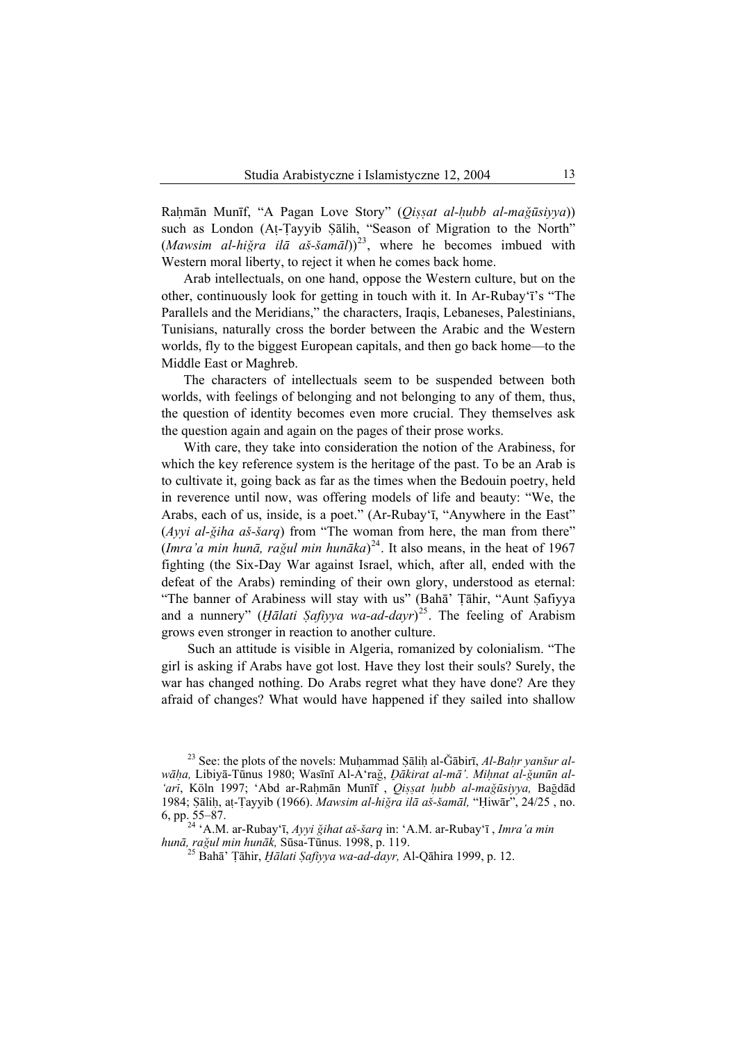Ra…mān Munīf, "A Pagan Love Story" (*Qi^^at al-…ubb al-maÑūsiyya*)) such as London (At-Tayyib Şālih, "Season of Migration to the North"  $(Mawsim \ al-hi\breve{g}ra \ il\bar{a} a\breve{s}-\breve{s}am\bar{a}l)$ <sup>[23](#page-8-0)</sup>, where he becomes imbued with Western moral liberty, to reject it when he comes back home.

Arab intellectuals, on one hand, oppose the Western culture, but on the other, continuously look for getting in touch with it. In Ar-Rubay'ī's "The Parallels and the Meridians," the characters, Iraqis, Lebaneses, Palestinians, Tunisians, naturally cross the border between the Arabic and the Western worlds, fly to the biggest European capitals, and then go back home—to the Middle East or Maghreb.

The characters of intellectuals seem to be suspended between both worlds, with feelings of belonging and not belonging to any of them, thus, the question of identity becomes even more crucial. They themselves ask the question again and again on the pages of their prose works.

With care, they take into consideration the notion of the Arabiness, for which the key reference system is the heritage of the past. To be an Arab is to cultivate it, going back as far as the times when the Bedouin poetry, held in reverence until now, was offering models of life and beauty: "We, the Arabs, each of us, inside, is a poet." (Ar-Rubay'ī, "Anywhere in the East" (*Ayyi al-Ñiha aš-šarq*) from "The woman from here, the man from there" (*Imra'a min hunā*, *ra*ğul min hunāka)<sup>[24](#page-8-1)</sup>. It also means, in the heat of 1967 fighting (the Six-Day War against Israel, which, after all, ended with the defeat of the Arabs) reminding of their own glory, understood as eternal: "The banner of Arabiness will stay with us" (Baha' Tahir, "Aunt Şafiyya and a nunnery" (*Hālati Ṣafiyya wa-ad-dayr*)<sup>[25](#page-8-2)</sup>. The feeling of Arabism grows even stronger in reaction to another culture.

Such an attitude is visible in Algeria, romanized by colonialism. "The girl is asking if Arabs have got lost. Have they lost their souls? Surely, the war has changed nothing. Do Arabs regret what they have done? Are they afraid of changes? What would have happened if they sailed into shallow

<span id="page-8-0"></span><sup>&</sup>lt;sup>23</sup> See: the plots of the novels: Muhammad Salih al-Ğabirī, *Al-Bahr yanšur alwāha*, Libiyā-Tūnus 1980; Wasīnī Al-A'rağ, *Dākirat al-mā*<sup>'</sup>. Milnat al-ğunūn al-'arī, Köln 1997; 'Abd ar-Rahmān Munīf , *Qissat hubb al-mağūsiyya*, Bağdād 1984; Sāliḥ, aṭ-Țayyib (1966). *Mawsim al-hiğra ilā aš-šamāl*, "Hiwār", 24/25, no.

<span id="page-8-2"></span><span id="page-8-1"></span><sup>6,</sup> pp. 55–87.<br><sup>24</sup> 'A.M. ar-Rubay'ī, *Ayyi ǧihat aš-šarq* in: 'A.M. ar-Rubay'ī, *Imra'a min hunā*, raǧul min hunāk, Sūsa-Tūnus. 1998, p. 119.

*h*Bahā<sup>*'*</sup> Tāhir, *Hālati Safiyya wa-ad-dayr*, Al-Qāhira 1999, p. 12.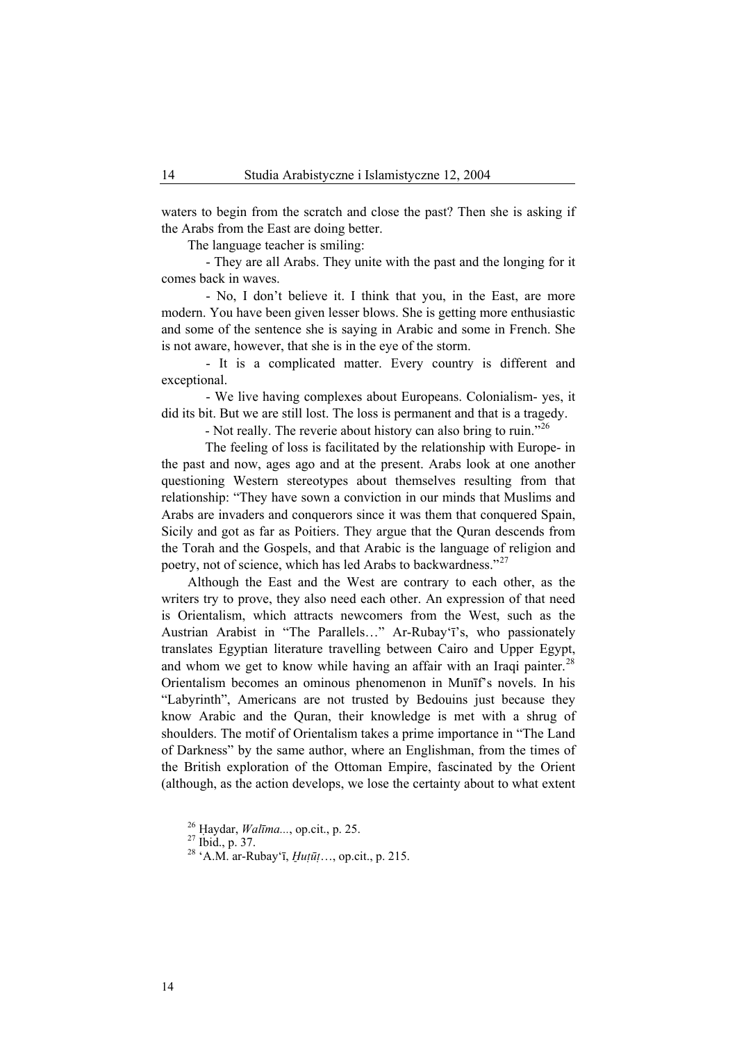waters to begin from the scratch and close the past? Then she is asking if the Arabs from the East are doing better.

The language teacher is smiling:

- They are all Arabs. They unite with the past and the longing for it comes back in waves.

- No, I don't believe it. I think that you, in the East, are more modern. You have been given lesser blows. She is getting more enthusiastic and some of the sentence she is saying in Arabic and some in French. She is not aware, however, that she is in the eye of the storm.

- It is a complicated matter. Every country is different and exceptional.

- We live having complexes about Europeans. Colonialism- yes, it did its bit. But we are still lost. The loss is permanent and that is a tragedy.

- Not really. The reverie about history can also bring to ruin."<sup>[26](#page-9-0)</sup>

The feeling of loss is facilitated by the relationship with Europe- in the past and now, ages ago and at the present. Arabs look at one another questioning Western stereotypes about themselves resulting from that relationship: "They have sown a conviction in our minds that Muslims and Arabs are invaders and conquerors since it was them that conquered Spain, Sicily and got as far as Poitiers. They argue that the Quran descends from the Torah and the Gospels, and that Arabic is the language of religion and poetry, not of science, which has led Arabs to backwardness."[27](#page-9-1)

Although the East and the West are contrary to each other, as the writers try to prove, they also need each other. An expression of that need is Orientalism, which attracts newcomers from the West, such as the Austrian Arabist in "The Parallels…" Ar-Rubay'ī's, who passionately translates Egyptian literature travelling between Cairo and Upper Egypt, and whom we get to know while having an affair with an Iraqi painter.<sup>[28](#page-9-2)</sup> Orientalism becomes an ominous phenomenon in Munīf's novels. In his "Labyrinth", Americans are not trusted by Bedouins just because they know Arabic and the Quran, their knowledge is met with a shrug of shoulders. The motif of Orientalism takes a prime importance in "The Land of Darkness" by the same author, where an Englishman, from the times of the British exploration of the Ottoman Empire, fascinated by the Orient (although, as the action develops, we lose the certainty about to what extent

<span id="page-9-1"></span><span id="page-9-0"></span><sup>&</sup>lt;sup>26</sup> Haydar, *Walīma*..., op.cit., p. 25.<br><sup>27</sup> Ibid., p. 37.

<span id="page-9-2"></span>

<sup>28 &#</sup>x27;A.M. ar-Rubay'ī, *Œuùūù*…, op.cit., p. 215.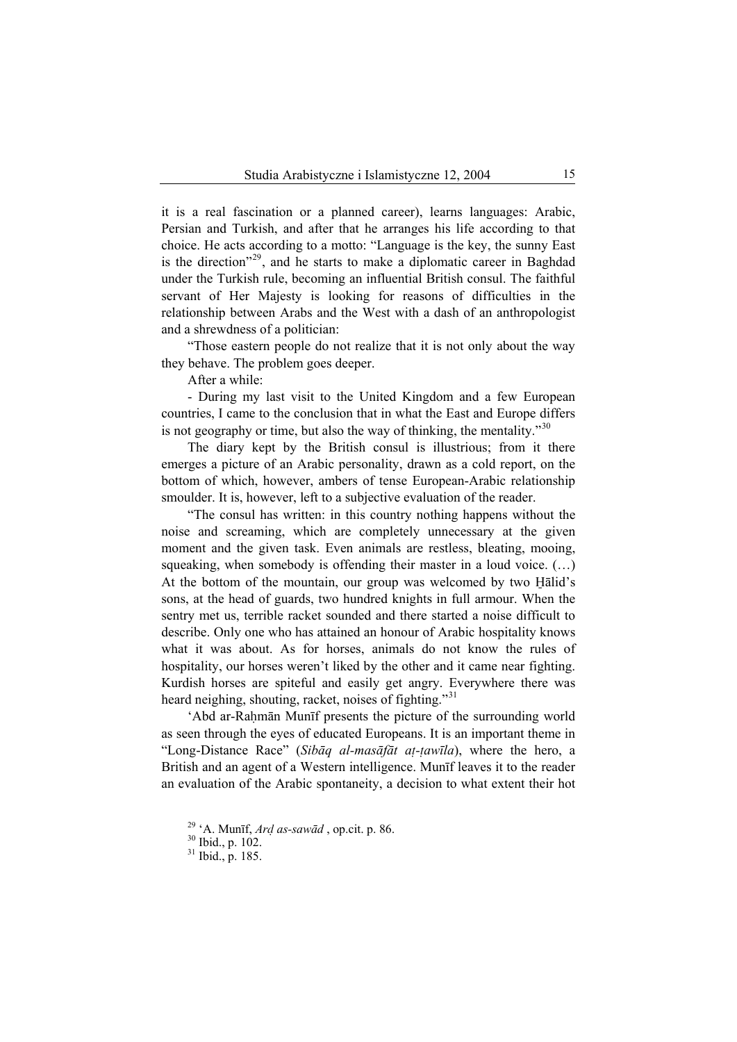it is a real fascination or a planned career), learns languages: Arabic, Persian and Turkish, and after that he arranges his life according to that choice. He acts according to a motto: "Language is the key, the sunny East is the direction"<sup>[29](#page-10-0)</sup>, and he starts to make a diplomatic career in Baghdad under the Turkish rule, becoming an influential British consul. The faithful servant of Her Majesty is looking for reasons of difficulties in the relationship between Arabs and the West with a dash of an anthropologist and a shrewdness of a politician:

"Those eastern people do not realize that it is not only about the way they behave. The problem goes deeper.

After a while:

- During my last visit to the United Kingdom and a few European countries, I came to the conclusion that in what the East and Europe differs is not geography or time, but also the way of thinking, the mentality.<sup>[30](#page-10-1)</sup>

The diary kept by the British consul is illustrious; from it there emerges a picture of an Arabic personality, drawn as a cold report, on the bottom of which, however, ambers of tense European-Arabic relationship smoulder. It is, however, left to a subjective evaluation of the reader.

"The consul has written: in this country nothing happens without the noise and screaming, which are completely unnecessary at the given moment and the given task. Even animals are restless, bleating, mooing, squeaking, when somebody is offending their master in a loud voice. (…) At the bottom of the mountain, our group was welcomed by two Halid's sons, at the head of guards, two hundred knights in full armour. When the sentry met us, terrible racket sounded and there started a noise difficult to describe. Only one who has attained an honour of Arabic hospitality knows what it was about. As for horses, animals do not know the rules of hospitality, our horses weren't liked by the other and it came near fighting. Kurdish horses are spiteful and easily get angry. Everywhere there was heard neighing, shouting, racket, noises of fighting."<sup>[31](#page-10-2)</sup>

'Abd ar-Rahmān Munīf presents the picture of the surrounding world as seen through the eyes of educated Europeans. It is an important theme in "Long-Distance Race" (*Sibāq al-masāfāt aù-ùawīla*), where the hero, a British and an agent of a Western intelligence. Munīf leaves it to the reader an evaluation of the Arabic spontaneity, a decision to what extent their hot

<span id="page-10-1"></span><span id="page-10-0"></span><sup>&</sup>lt;sup>29</sup> 'A. Munīf, *Ard as-sawād*, op.cit. p. 86. <sup>30</sup> Ibid., p. 102.

<span id="page-10-2"></span>

<sup>31</sup> Ibid., p. 185.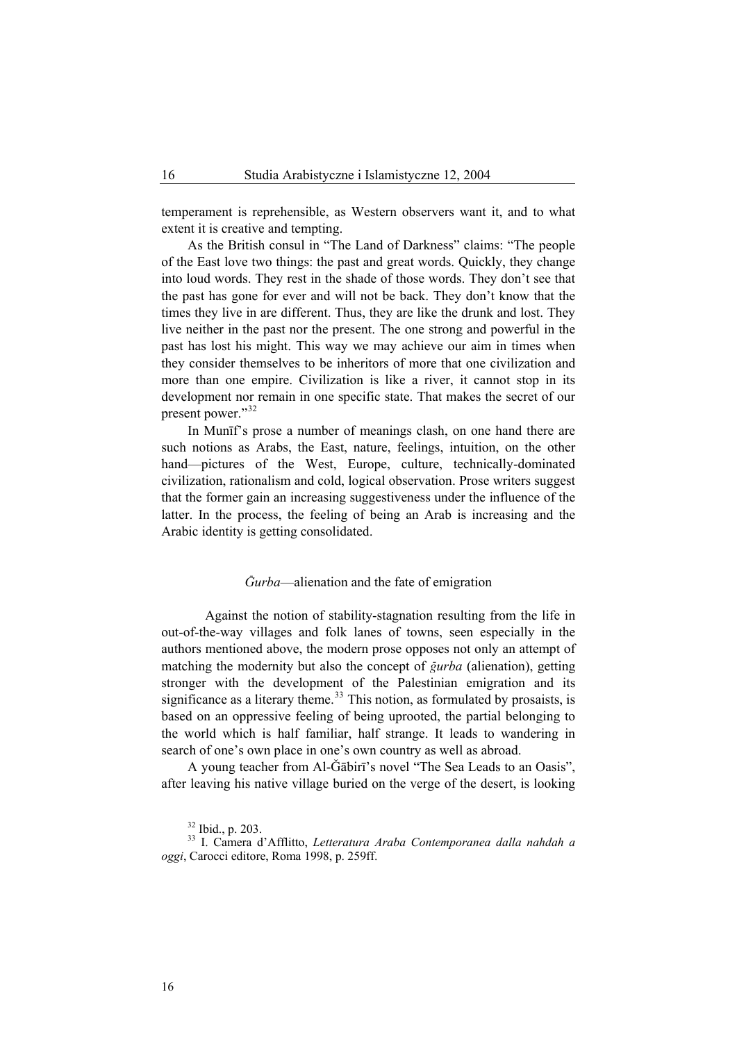temperament is reprehensible, as Western observers want it, and to what extent it is creative and tempting.

As the British consul in "The Land of Darkness" claims: "The people of the East love two things: the past and great words. Quickly, they change into loud words. They rest in the shade of those words. They don't see that the past has gone for ever and will not be back. They don't know that the times they live in are different. Thus, they are like the drunk and lost. They live neither in the past nor the present. The one strong and powerful in the past has lost his might. This way we may achieve our aim in times when they consider themselves to be inheritors of more that one civilization and more than one empire. Civilization is like a river, it cannot stop in its development nor remain in one specific state. That makes the secret of our present power."[32](#page-11-0)

In Munīf's prose a number of meanings clash, on one hand there are such notions as Arabs, the East, nature, feelings, intuition, on the other hand—pictures of the West, Europe, culture, technically-dominated civilization, rationalism and cold, logical observation. Prose writers suggest that the former gain an increasing suggestiveness under the influence of the latter. In the process, the feeling of being an Arab is increasing and the Arabic identity is getting consolidated.

# *¥urba*—alienation and the fate of emigration

Against the notion of stability-stagnation resulting from the life in out-of-the-way villages and folk lanes of towns, seen especially in the authors mentioned above, the modern prose opposes not only an attempt of matching the modernity but also the concept of *gurba* (alienation), getting stronger with the development of the Palestinian emigration and its significance as a literary theme.<sup>[33](#page-11-1)</sup> This notion, as formulated by prosaists, is based on an oppressive feeling of being uprooted, the partial belonging to the world which is half familiar, half strange. It leads to wandering in search of one's own place in one's own country as well as abroad.

A young teacher from Al-Ḡābirī's novel "The Sea Leads to an Oasis". after leaving his native village buried on the verge of the desert, is looking

<sup>32</sup> Ibid., p. 203.

<span id="page-11-1"></span><span id="page-11-0"></span><sup>33</sup> I. Camera d'Afflitto, *Letteratura Araba Contemporanea dalla nahdah a oggi*, Carocci editore, Roma 1998, p. 259ff.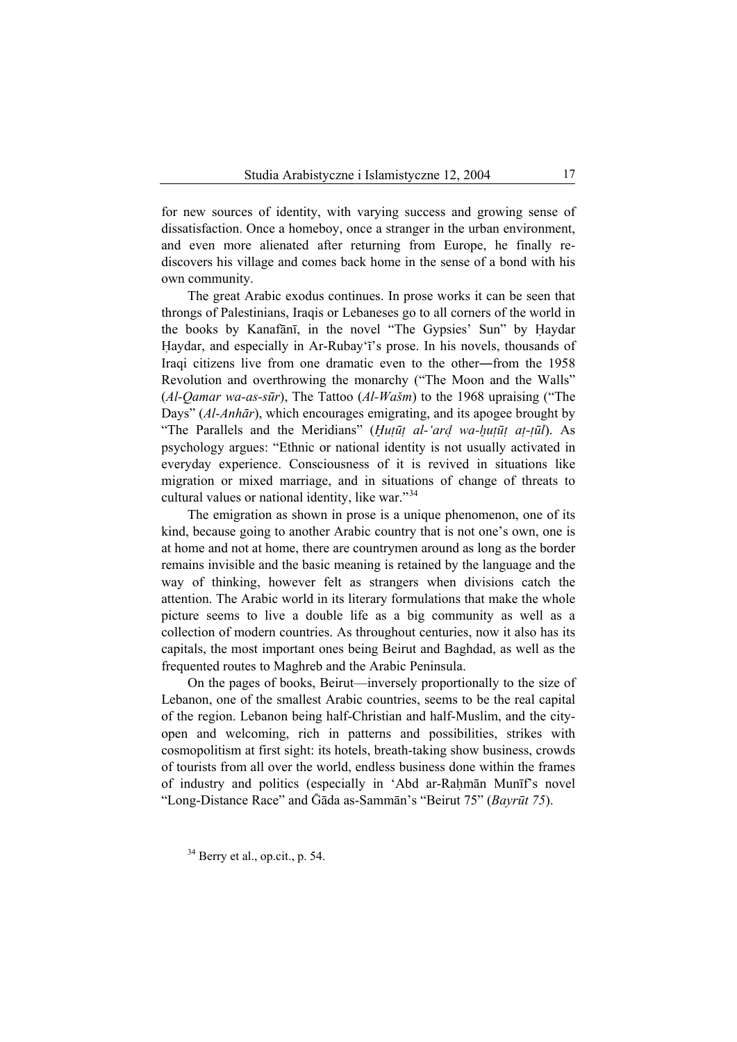for new sources of identity, with varying success and growing sense of dissatisfaction. Once a homeboy, once a stranger in the urban environment, and even more alienated after returning from Europe, he finally rediscovers his village and comes back home in the sense of a bond with his own community.

The great Arabic exodus continues. In prose works it can be seen that throngs of Palestinians, Iraqis or Lebaneses go to all corners of the world in the books by Kanafānī, in the novel "The Gypsies' Sun" by Haydar Haydar, and especially in Ar-Rubay'<sup>1</sup>'s prose. In his novels, thousands of Iraqi citizens live from one dramatic even to the other―from the 1958 Revolution and overthrowing the monarchy ("The Moon and the Walls" (*Al-Qamar wa-as-sūr*), The Tattoo (*Al-Wašm*) to the 1968 upraising ("The Days" (*Al-Anhār*), which encourages emigrating, and its apogee brought by "The Parallels and the Meridians" (*Hutūt al-'ard wa-hutūt at-tūl*). As psychology argues: "Ethnic or national identity is not usually activated in everyday experience. Consciousness of it is revived in situations like migration or mixed marriage, and in situations of change of threats to cultural values or national identity, like war."<sup>[34](#page-12-0)</sup>

The emigration as shown in prose is a unique phenomenon, one of its kind, because going to another Arabic country that is not one's own, one is at home and not at home, there are countrymen around as long as the border remains invisible and the basic meaning is retained by the language and the way of thinking, however felt as strangers when divisions catch the attention. The Arabic world in its literary formulations that make the whole picture seems to live a double life as a big community as well as a collection of modern countries. As throughout centuries, now it also has its capitals, the most important ones being Beirut and Baghdad, as well as the frequented routes to Maghreb and the Arabic Peninsula.

On the pages of books, Beirut—inversely proportionally to the size of Lebanon, one of the smallest Arabic countries, seems to be the real capital of the region. Lebanon being half-Christian and half-Muslim, and the cityopen and welcoming, rich in patterns and possibilities, strikes with cosmopolitism at first sight: its hotels, breath-taking show business, crowds of tourists from all over the world, endless business done within the frames of industry and politics (especially in 'Abd ar-Rahmān Munīf's novel "Long-Distance Race" and ¥āda as-Sammān's "Beirut 75" (*Bayrūt 75*).

<span id="page-12-0"></span> $34$  Berry et al., op.cit., p. 54.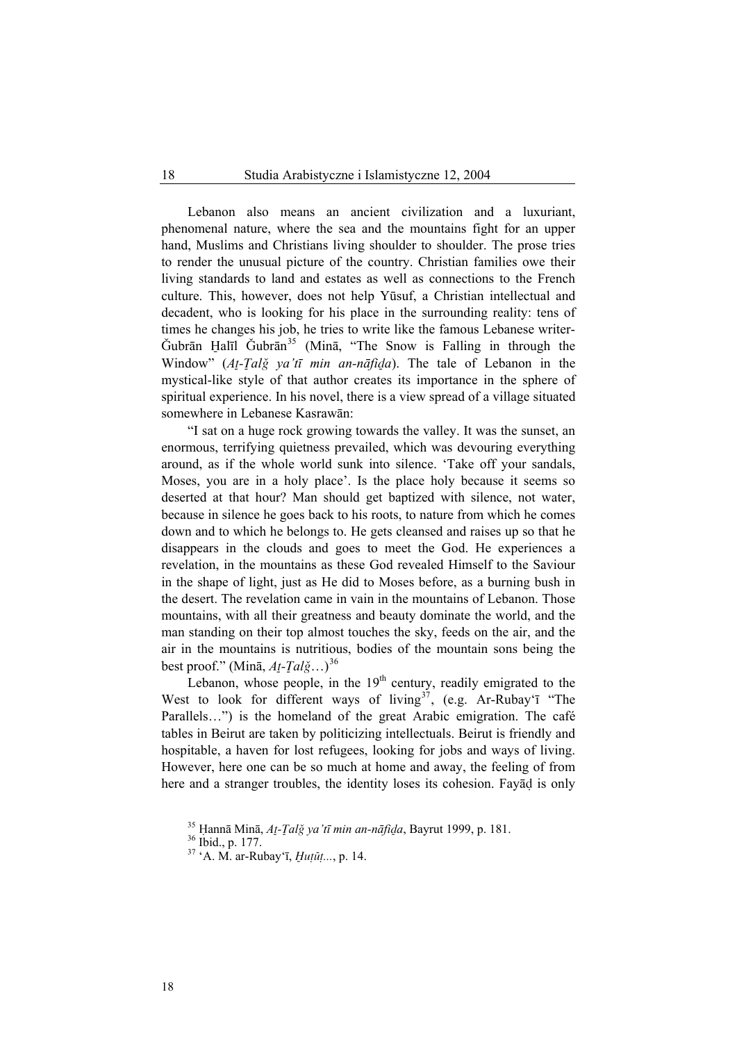Lebanon also means an ancient civilization and a luxuriant, phenomenal nature, where the sea and the mountains fight for an upper hand, Muslims and Christians living shoulder to shoulder. The prose tries to render the unusual picture of the country. Christian families owe their living standards to land and estates as well as connections to the French culture. This, however, does not help Yūsuf, a Christian intellectual and decadent, who is looking for his place in the surrounding reality: tens of times he changes his job, he tries to write like the famous Lebanese writer- $\check{G}$ ubrān Halīl  $\check{G}$ ubrān<sup>[35](#page-13-0)</sup> (Minā, "The Snow is Falling in through the Window" (At-Talg ya'tī min an-nāfida). The tale of Lebanon in the mystical-like style of that author creates its importance in the sphere of spiritual experience. In his novel, there is a view spread of a village situated somewhere in Lebanese Kasrawān:

"I sat on a huge rock growing towards the valley. It was the sunset, an enormous, terrifying quietness prevailed, which was devouring everything around, as if the whole world sunk into silence. 'Take off your sandals, Moses, you are in a holy place'. Is the place holy because it seems so deserted at that hour? Man should get baptized with silence, not water, because in silence he goes back to his roots, to nature from which he comes down and to which he belongs to. He gets cleansed and raises up so that he disappears in the clouds and goes to meet the God. He experiences a revelation, in the mountains as these God revealed Himself to the Saviour in the shape of light, just as He did to Moses before, as a burning bush in the desert. The revelation came in vain in the mountains of Lebanon. Those mountains, with all their greatness and beauty dominate the world, and the man standing on their top almost touches the sky, feeds on the air, and the air in the mountains is nutritious, bodies of the mountain sons being the best proof." (Minā,  $At$ <sup>-</sup> $Tal\check{g}$ …)<sup>[36](#page-13-1)</sup>

Lebanon, whose people, in the  $19<sup>th</sup>$  century, readily emigrated to the West to look for different ways of living<sup>[37](#page-13-2)</sup>, (e.g. Ar-Rubay'ī "The Parallels…") is the homeland of the great Arabic emigration. The café tables in Beirut are taken by politicizing intellectuals. Beirut is friendly and hospitable, a haven for lost refugees, looking for jobs and ways of living. However, here one can be so much at home and away, the feeling of from here and a stranger troubles, the identity loses its cohesion. Fayad is only

18

<span id="page-13-2"></span><span id="page-13-1"></span><span id="page-13-0"></span><sup>35</sup> <sup>∞</sup>annā Minā, *A@-¡alÑ ya'tī min an-nāfiôa*, Bayrut 1999, p. 181. 36 Ibid., p. 177.

<sup>36</sup> Ibid., p. 177.<br><sup>37</sup> 'A. M. ar-Rubay'ī, *Huṭūṭ...*, p. 14.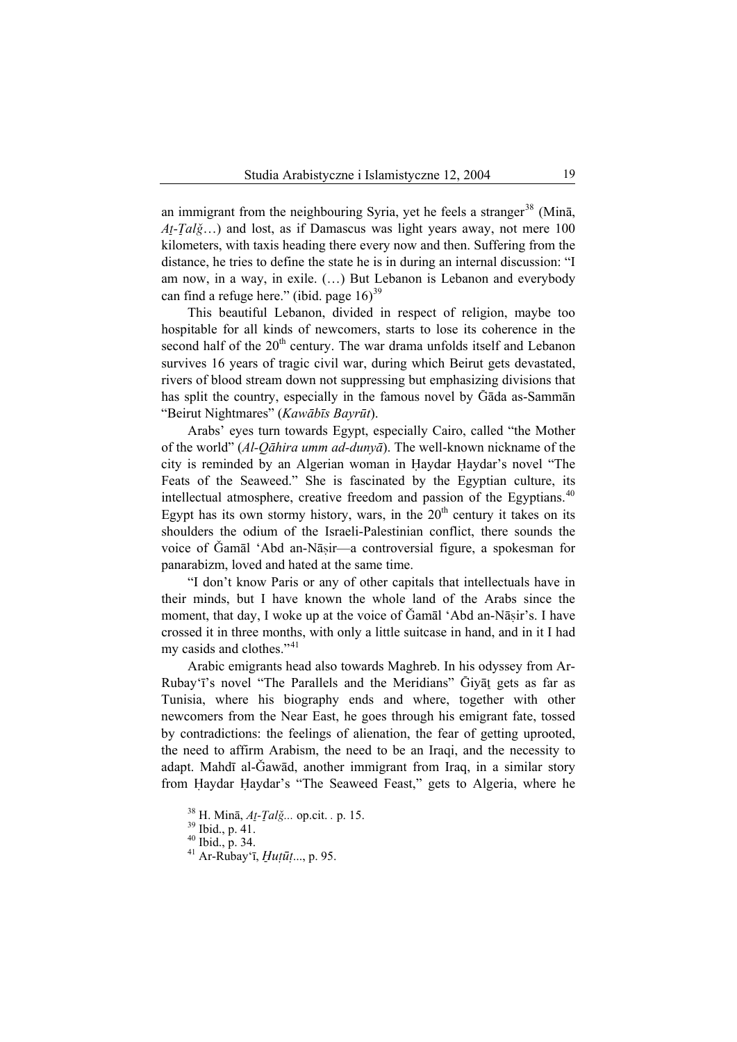an immigrant from the neighbouring Syria, yet he feels a stranger<sup>[38](#page-14-0)</sup> (Mina,  $At-Tal\check{g}...$ ) and lost, as if Damascus was light years away, not mere 100 kilometers, with taxis heading there every now and then. Suffering from the distance, he tries to define the state he is in during an internal discussion: "I am now, in a way, in exile. (…) But Lebanon is Lebanon and everybody can find a refuge here." (ibid. page  $16$ )<sup>[39](#page-14-1)</sup>

This beautiful Lebanon, divided in respect of religion, maybe too hospitable for all kinds of newcomers, starts to lose its coherence in the second half of the 20<sup>th</sup> century. The war drama unfolds itself and Lebanon survives 16 years of tragic civil war, during which Beirut gets devastated, rivers of blood stream down not suppressing but emphasizing divisions that has split the country, especially in the famous novel by Gāda as-Sammān "Beirut Nightmares" (*Kawābīs Bayrūt*).

Arabs' eyes turn towards Egypt, especially Cairo, called "the Mother of the world" (*Al-Qāhira umm ad-dunyā*). The well-known nickname of the city is reminded by an Algerian woman in Haydar Haydar's novel "The Feats of the Seaweed." She is fascinated by the Egyptian culture, its intellectual atmosphere, creative freedom and passion of the Egyptians.<sup>[40](#page-14-2)</sup> Egypt has its own stormy history, wars, in the  $20<sup>th</sup>$  century it takes on its shoulders the odium of the Israeli-Palestinian conflict, there sounds the voice of Gamāl 'Abd an-Nāsir—a controversial figure, a spokesman for panarabizm, loved and hated at the same time.

"I don't know Paris or any of other capitals that intellectuals have in their minds, but I have known the whole land of the Arabs since the moment, that day, I woke up at the voice of Gamāl 'Abd an-Nāṣir's. I have crossed it in three months, with only a little suitcase in hand, and in it I had my casids and clothes."<sup>[41](#page-14-3)</sup>

Arabic emigrants head also towards Maghreb. In his odyssey from Ar-Rubay'ī's novel "The Parallels and the Meridians" Givat gets as far as Tunisia, where his biography ends and where, together with other newcomers from the Near East, he goes through his emigrant fate, tossed by contradictions: the feelings of alienation, the fear of getting uprooted, the need to affirm Arabism, the need to be an Iraqi, and the necessity to adapt. Mahdī al-Ğawād, another immigrant from Iraq, in a similar story from Haydar Haydar's "The Seaweed Feast," gets to Algeria, where he

<sup>38</sup> H. Minā, *A@-¡alÑ...* op.cit. *.* p. 15. 39 Ibid., p. 41.

<span id="page-14-3"></span><span id="page-14-2"></span><span id="page-14-1"></span><span id="page-14-0"></span>

 $40$  Ibid., p. 34.

<sup>41</sup> Ar-Rubay'ī, *Œuùūù*..., p. 95.